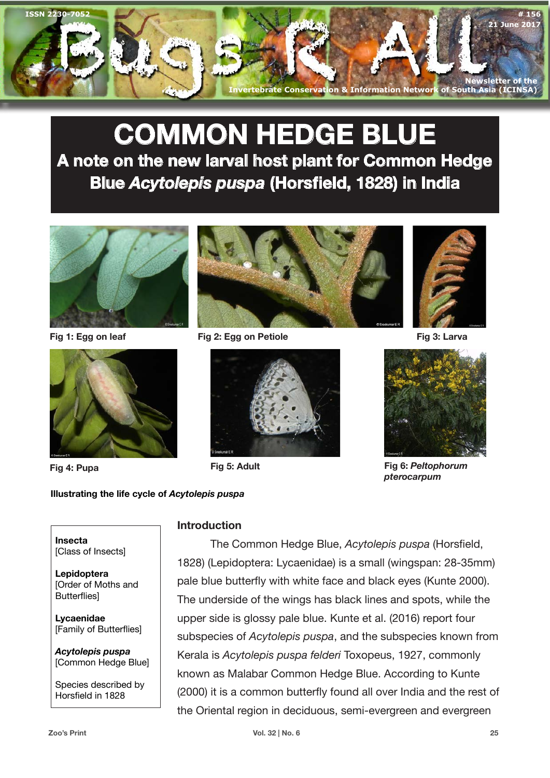

# **COMMON HEDGE BLUE A note on the new larval host plant for Common Hedge Blue** *Acytolepis puspa* **(Horsfield, 1828) in India**



**Fig 1: Egg on leaf**





**Fig 2: Egg on Petiole Fig 3: Larva**







**Fig 4: Pupa Fig 5: Adult Fig 6:** *Peltophorum pterocarpum*

## **Illustrating the life cycle of** *Acytolepis puspa*

**Insecta** [Class of Insects]

**Lepidoptera** [Order of Moths and **Butterflies** 

**Lycaenidae** [Family of Butterflies]

*Acytolepis puspa* [Common Hedge Blue]

Species described by Horsfield in 1828

**Introduction**

The Common Hedge Blue, *Acytolepis puspa* (Horsfield, 1828) (Lepidoptera: Lycaenidae) is a small (wingspan: 28-35mm) pale blue butterfly with white face and black eyes (Kunte 2000). The underside of the wings has black lines and spots, while the upper side is glossy pale blue. Kunte et al. (2016) report four subspecies of *Acytolepis puspa*, and the subspecies known from Kerala is *Acytolepis puspa felderi* Toxopeus, 1927, commonly known as Malabar Common Hedge Blue. According to Kunte (2000) it is a common butterfly found all over India and the rest of the Oriental region in deciduous, semi-evergreen and evergreen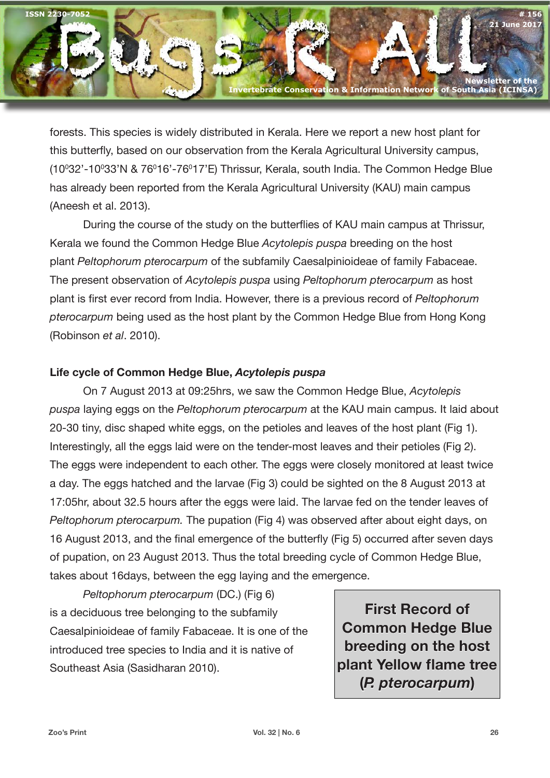

forests. This species is widely distributed in Kerala. Here we report a new host plant for this butterfly, based on our observation from the Kerala Agricultural University campus, (10º32'-10º33'N & 76º16'-76º17'E) Thrissur, Kerala, south India. The Common Hedge Blue has already been reported from the Kerala Agricultural University (KAU) main campus (Aneesh et al. 2013).

During the course of the study on the butterflies of KAU main campus at Thrissur, Kerala we found the Common Hedge Blue *Acytolepis puspa* breeding on the host plant *Peltophorum pterocarpum* of the subfamily Caesalpinioideae of family Fabaceae. The present observation of *Acytolepis puspa* using *Peltophorum pterocarpum* as host plant is first ever record from India. However, there is a previous record of *Peltophorum pterocarpum* being used as the host plant by the Common Hedge Blue from Hong Kong (Robinson *et al*. 2010).

## **Life cycle of Common Hedge Blue,** *Acytolepis puspa*

On 7 August 2013 at 09:25hrs, we saw the Common Hedge Blue, *Acytolepis puspa* laying eggs on the *Peltophorum pterocarpum* at the KAU main campus. It laid about 20-30 tiny, disc shaped white eggs, on the petioles and leaves of the host plant (Fig 1). Interestingly, all the eggs laid were on the tender-most leaves and their petioles (Fig 2). The eggs were independent to each other. The eggs were closely monitored at least twice a day. The eggs hatched and the larvae (Fig 3) could be sighted on the 8 August 2013 at 17:05hr, about 32.5 hours after the eggs were laid. The larvae fed on the tender leaves of *Peltophorum pterocarpum.* The pupation (Fig 4) was observed after about eight days, on 16 August 2013, and the final emergence of the butterfly (Fig 5) occurred after seven days of pupation, on 23 August 2013. Thus the total breeding cycle of Common Hedge Blue, takes about 16days, between the egg laying and the emergence.

*Peltophorum pterocarpum* (DC.) (Fig 6) is a deciduous tree belonging to the subfamily Caesalpinioideae of family Fabaceae. It is one of the introduced tree species to India and it is native of Southeast Asia (Sasidharan 2010).

**First Record of Common Hedge Blue breeding on the host plant Yellow flame tree (***P. pterocarpum***)**